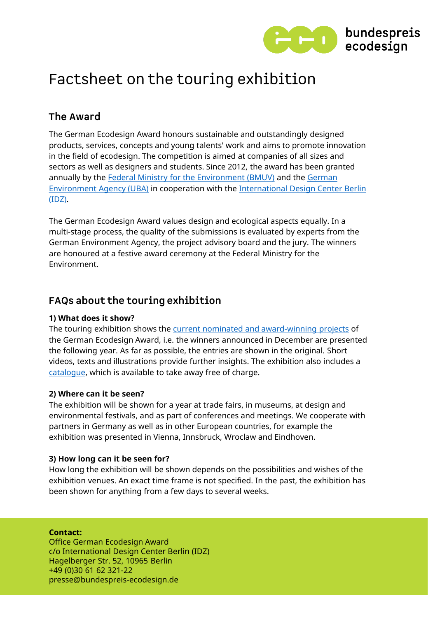

# Factsheet on the touring exhibition

### The Award

The German Ecodesign Award honours sustainable and outstandingly designed products, services, concepts and young talents' work and aims to promote innovation in the field of ecodesign. The competition is aimed at companies of all sizes and sectors as well as designers and students. Since 2012, the award has been granted [annually by the](https://www.umweltbundesamt.de/en) [Federal Ministry for the Environment \(BMUV\)](https://www.bmuv.de/en/) and the German Environment Agency (UBA) [in cooperation with the International Design Center Berlin](https://www.idz.de/en/) (IDZ).

The German Ecodesign Award values design and ecological aspects equally. In a multi-stage process, the quality of the submissions is evaluated by experts from the German Environment Agency, the project advisory board and the jury. The winners are honoured at a festive award ceremony at the Federal Ministry for the Environment.

## FAQs about the touring exhibition

#### **1) What does it show?**

The touring exhibition shows the [current nominated and award-winning projects](https://bundespreis-ecodesign.de/en/projectoverview/winners-2021) of the German Ecodesign Award, i.e. the winners announced in December are presented the following year. As far as possible, the entries are shown in the original. Short videos, texts and illustrations provide further insights. The exhibition also includes a [catalogue,](https://bundespreis-ecodesign.de/en/events/exhibition) which is available to take away free of charge.

#### **2) Where can it be seen?**

The exhibition will be shown for a year at trade fairs, in museums, at design and environmental festivals, and as part of conferences and meetings. We cooperate with partners in Germany as well as in other European countries, for example the exhibition was presented in Vienna, Innsbruck, Wroclaw and Eindhoven.

#### **3) How long can it be seen for?**

How long the exhibition will be shown depends on the possibilities and wishes of the exhibition venues. An exact time frame is not specified. In the past, the exhibition has been shown for anything from a few days to several weeks.

#### **Contact:**

Office German Ecodesign Award c/o International Design Center Berlin (IDZ) Hagelberger Str. 52, 10965 Berlin +49 (0)30 61 62 321-22 presse@bundespreis-ecodesign.de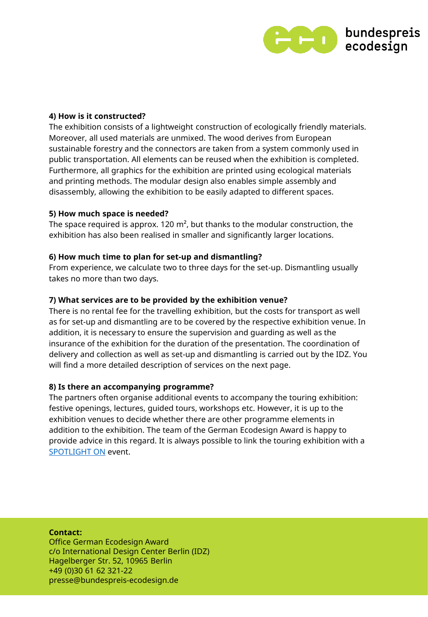

#### **4) How is it constructed?**

The exhibition consists of a lightweight construction of ecologically friendly materials. Moreover, all used materials are unmixed. The wood derives from European sustainable forestry and the connectors are taken from a system commonly used in public transportation. All elements can be reused when the exhibition is completed. Furthermore, all graphics for the exhibition are printed using ecological materials and printing methods. The modular design also enables simple assembly and disassembly, allowing the exhibition to be easily adapted to different spaces.

#### **5) How much space is needed?**

The space required is approx. 120  $m^2$ , but thanks to the modular construction, the exhibition has also been realised in smaller and significantly larger locations.

#### **6) How much time to plan for set-up and dismantling?**

From experience, we calculate two to three days for the set-up. Dismantling usually takes no more than two days.

#### **7) What services are to be provided by the exhibition venue?**

There is no rental fee for the travelling exhibition, but the costs for transport as well as for set-up and dismantling are to be covered by the respective exhibition venue. In addition, it is necessary to ensure the supervision and guarding as well as the insurance of the exhibition for the duration of the presentation. The coordination of delivery and collection as well as set-up and dismantling is carried out by the IDZ. You will find a more detailed description of services on the next page.

#### **8) Is there an accompanying programme?**

The partners often organise additional events to accompany the touring exhibition: festive openings, lectures, guided tours, workshops etc. However, it is up to the exhibition venues to decide whether there are other programme elements in addition to the exhibition. The team of the German Ecodesign Award is happy to provide advice in this regard. It is always possible to link the touring exhibition with a [SPOTLIGHT ON](https://www.bundespreis-ecodesign.de/en/events/spotlight-on) event.

#### **Contact:**

Office German Ecodesign Award c/o International Design Center Berlin (IDZ) Hagelberger Str. 52, 10965 Berlin +49 (0)30 61 62 321-22 presse@bundespreis-ecodesign.de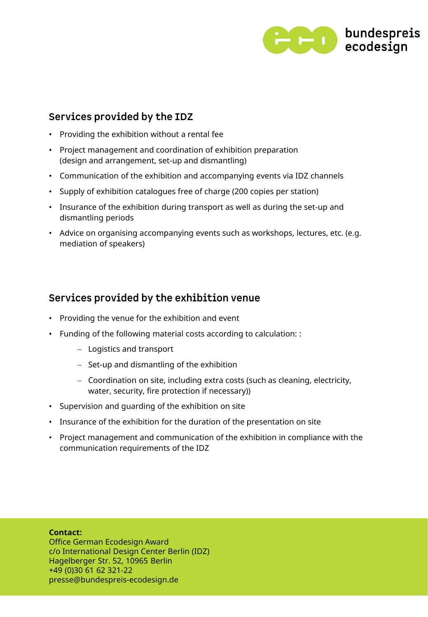

### Services provided by the IDZ

- Providing the exhibition without a rental fee
- Project management and coordination of exhibition preparation (design and arrangement, set-up and dismantling)
- Communication of the exhibition and accompanying events via IDZ channels
- Supply of exhibition catalogues free of charge (200 copies per station)
- Insurance of the exhibition during transport as well as during the set-up and dismantling periods
- Advice on organising accompanying events such as workshops, lectures, etc. (e.g. mediation of speakers)

## Services provided by the exhibition venue

- Providing the venue for the exhibition and event
- Funding of the following material costs according to calculation: :
	- − Logistics and transport
	- − Set-up and dismantling of the exhibition
	- − Coordination on site, including extra costs (such as cleaning, electricity, water, security, fire protection if necessary))
- Supervision and guarding of the exhibition on site
- Insurance of the exhibition for the duration of the presentation on site
- Project management and communication of the exhibition in compliance with the communication requirements of the IDZ

#### **Contact:**

Office German Ecodesign Award c/o International Design Center Berlin (IDZ) Hagelberger Str. 52, 10965 Berlin +49 (0)30 61 62 321-22 presse@bundespreis-ecodesign.de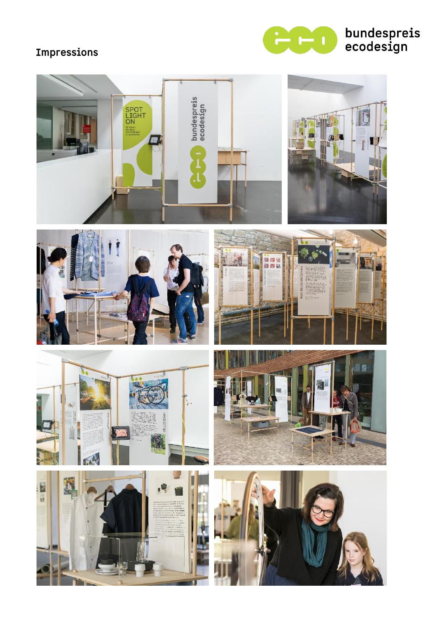# Impressions



# bundespreis<br>ecodesign